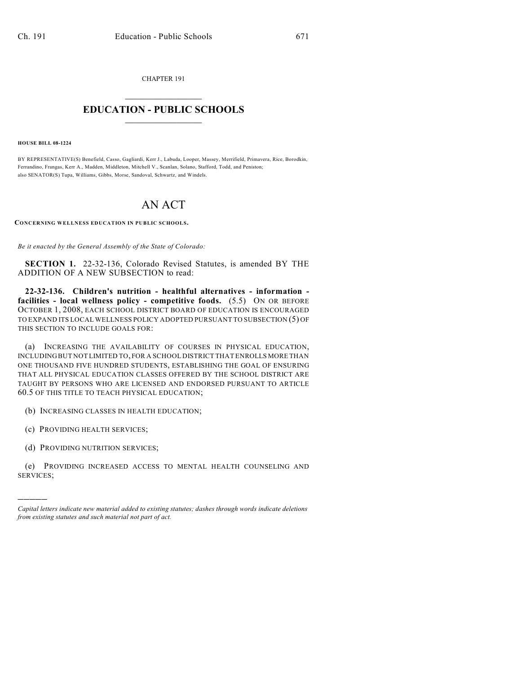CHAPTER 191

## $\mathcal{L}_\text{max}$  . The set of the set of the set of the set of the set of the set of the set of the set of the set of the set of the set of the set of the set of the set of the set of the set of the set of the set of the set **EDUCATION - PUBLIC SCHOOLS**  $\_$   $\_$   $\_$   $\_$   $\_$   $\_$   $\_$   $\_$   $\_$

**HOUSE BILL 08-1224**

BY REPRESENTATIVE(S) Benefield, Casso, Gagliardi, Kerr J., Labuda, Looper, Massey, Merrifield, Primavera, Rice, Borodkin, Ferrandino, Frangas, Kerr A., Madden, Middleton, Mitchell V., Scanlan, Solano, Stafford, Todd, and Peniston; also SENATOR(S) Tupa, Williams, Gibbs, Morse, Sandoval, Schwartz, and Windels.

## AN ACT

**CONCERNING WELLNESS EDUCATION IN PUBLIC SCHOOLS.**

*Be it enacted by the General Assembly of the State of Colorado:*

**SECTION 1.** 22-32-136, Colorado Revised Statutes, is amended BY THE ADDITION OF A NEW SUBSECTION to read:

**22-32-136. Children's nutrition - healthful alternatives - information facilities - local wellness policy - competitive foods.** (5.5) ON OR BEFORE OCTOBER 1, 2008, EACH SCHOOL DISTRICT BOARD OF EDUCATION IS ENCOURAGED TO EXPAND ITS LOCAL WELLNESS POLICY ADOPTED PURSUANT TO SUBSECTION (5) OF THIS SECTION TO INCLUDE GOALS FOR:

(a) INCREASING THE AVAILABILITY OF COURSES IN PHYSICAL EDUCATION, INCLUDING BUT NOT LIMITED TO, FOR A SCHOOL DISTRICT THAT ENROLLS MORE THAN ONE THOUSAND FIVE HUNDRED STUDENTS, ESTABLISHING THE GOAL OF ENSURING THAT ALL PHYSICAL EDUCATION CLASSES OFFERED BY THE SCHOOL DISTRICT ARE TAUGHT BY PERSONS WHO ARE LICENSED AND ENDORSED PURSUANT TO ARTICLE 60.5 OF THIS TITLE TO TEACH PHYSICAL EDUCATION;

(b) INCREASING CLASSES IN HEALTH EDUCATION;

(c) PROVIDING HEALTH SERVICES;

)))))

(d) PROVIDING NUTRITION SERVICES;

(e) PROVIDING INCREASED ACCESS TO MENTAL HEALTH COUNSELING AND SERVICES;

*Capital letters indicate new material added to existing statutes; dashes through words indicate deletions from existing statutes and such material not part of act.*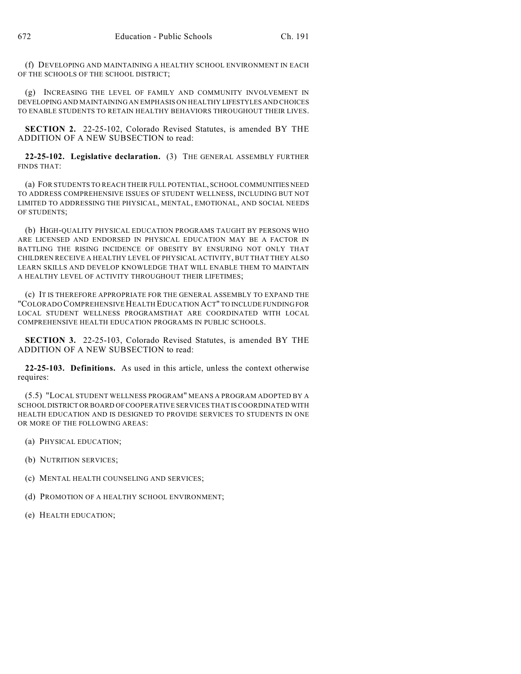(f) DEVELOPING AND MAINTAINING A HEALTHY SCHOOL ENVIRONMENT IN EACH OF THE SCHOOLS OF THE SCHOOL DISTRICT;

(g) INCREASING THE LEVEL OF FAMILY AND COMMUNITY INVOLVEMENT IN DEVELOPING AND MAINTAINING AN EMPHASIS ON HEALTHY LIFESTYLES AND CHOICES TO ENABLE STUDENTS TO RETAIN HEALTHY BEHAVIORS THROUGHOUT THEIR LIVES.

**SECTION 2.** 22-25-102, Colorado Revised Statutes, is amended BY THE ADDITION OF A NEW SUBSECTION to read:

**22-25-102. Legislative declaration.** (3) THE GENERAL ASSEMBLY FURTHER FINDS THAT:

(a) FOR STUDENTS TO REACH THEIR FULL POTENTIAL, SCHOOL COMMUNITIES NEED TO ADDRESS COMPREHENSIVE ISSUES OF STUDENT WELLNESS, INCLUDING BUT NOT LIMITED TO ADDRESSING THE PHYSICAL, MENTAL, EMOTIONAL, AND SOCIAL NEEDS OF STUDENTS;

(b) HIGH-QUALITY PHYSICAL EDUCATION PROGRAMS TAUGHT BY PERSONS WHO ARE LICENSED AND ENDORSED IN PHYSICAL EDUCATION MAY BE A FACTOR IN BATTLING THE RISING INCIDENCE OF OBESITY BY ENSURING NOT ONLY THAT CHILDREN RECEIVE A HEALTHY LEVEL OF PHYSICAL ACTIVITY, BUT THAT THEY ALSO LEARN SKILLS AND DEVELOP KNOWLEDGE THAT WILL ENABLE THEM TO MAINTAIN A HEALTHY LEVEL OF ACTIVITY THROUGHOUT THEIR LIFETIMES;

(c) IT IS THEREFORE APPROPRIATE FOR THE GENERAL ASSEMBLY TO EXPAND THE "COLORADO COMPREHENSIVE HEALTH EDUCATION ACT" TO INCLUDE FUNDING FOR LOCAL STUDENT WELLNESS PROGRAMSTHAT ARE COORDINATED WITH LOCAL COMPREHENSIVE HEALTH EDUCATION PROGRAMS IN PUBLIC SCHOOLS.

**SECTION 3.** 22-25-103, Colorado Revised Statutes, is amended BY THE ADDITION OF A NEW SUBSECTION to read:

**22-25-103. Definitions.** As used in this article, unless the context otherwise requires:

(5.5) "LOCAL STUDENT WELLNESS PROGRAM" MEANS A PROGRAM ADOPTED BY A SCHOOL DISTRICT OR BOARD OF COOPERATIVE SERVICES THAT IS COORDINATED WITH HEALTH EDUCATION AND IS DESIGNED TO PROVIDE SERVICES TO STUDENTS IN ONE OR MORE OF THE FOLLOWING AREAS:

- (a) PHYSICAL EDUCATION;
- (b) NUTRITION SERVICES;
- (c) MENTAL HEALTH COUNSELING AND SERVICES;
- (d) PROMOTION OF A HEALTHY SCHOOL ENVIRONMENT;
- (e) HEALTH EDUCATION;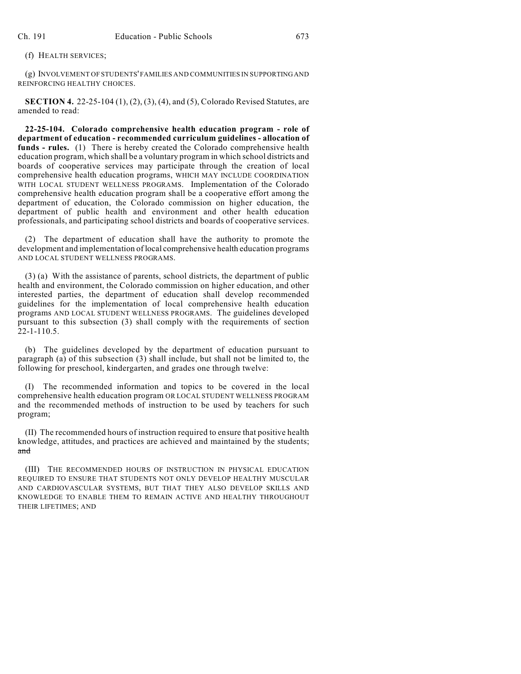(f) HEALTH SERVICES;

(g) INVOLVEMENT OF STUDENTS' FAMILIES AND COMMUNITIES IN SUPPORTING AND REINFORCING HEALTHY CHOICES.

**SECTION 4.** 22-25-104 (1), (2), (3), (4), and (5), Colorado Revised Statutes, are amended to read:

**22-25-104. Colorado comprehensive health education program - role of department of education - recommended curriculum guidelines - allocation of funds - rules.** (1) There is hereby created the Colorado comprehensive health education program, which shall be a voluntary program in which school districts and boards of cooperative services may participate through the creation of local comprehensive health education programs, WHICH MAY INCLUDE COORDINATION WITH LOCAL STUDENT WELLNESS PROGRAMS. Implementation of the Colorado comprehensive health education program shall be a cooperative effort among the department of education, the Colorado commission on higher education, the department of public health and environment and other health education professionals, and participating school districts and boards of cooperative services.

(2) The department of education shall have the authority to promote the development and implementation of local comprehensive health education programs AND LOCAL STUDENT WELLNESS PROGRAMS.

(3) (a) With the assistance of parents, school districts, the department of public health and environment, the Colorado commission on higher education, and other interested parties, the department of education shall develop recommended guidelines for the implementation of local comprehensive health education programs AND LOCAL STUDENT WELLNESS PROGRAMS. The guidelines developed pursuant to this subsection (3) shall comply with the requirements of section 22-1-110.5.

(b) The guidelines developed by the department of education pursuant to paragraph (a) of this subsection (3) shall include, but shall not be limited to, the following for preschool, kindergarten, and grades one through twelve:

(I) The recommended information and topics to be covered in the local comprehensive health education program OR LOCAL STUDENT WELLNESS PROGRAM and the recommended methods of instruction to be used by teachers for such program;

(II) The recommended hours of instruction required to ensure that positive health knowledge, attitudes, and practices are achieved and maintained by the students; and

(III) THE RECOMMENDED HOURS OF INSTRUCTION IN PHYSICAL EDUCATION REQUIRED TO ENSURE THAT STUDENTS NOT ONLY DEVELOP HEALTHY MUSCULAR AND CARDIOVASCULAR SYSTEMS, BUT THAT THEY ALSO DEVELOP SKILLS AND KNOWLEDGE TO ENABLE THEM TO REMAIN ACTIVE AND HEALTHY THROUGHOUT THEIR LIFETIMES; AND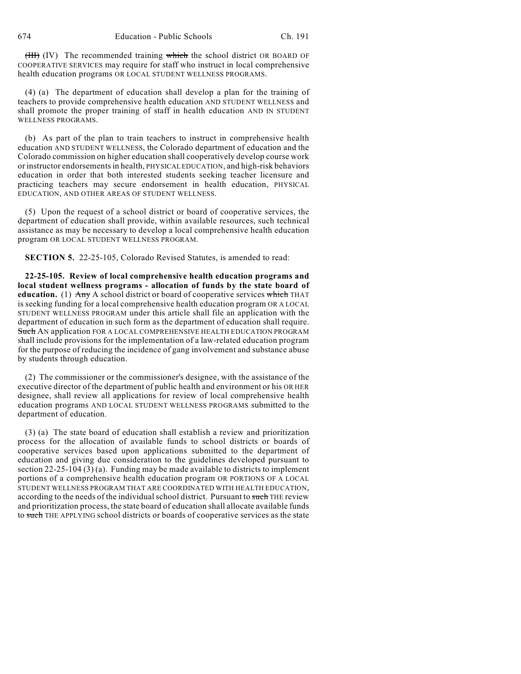$(HH)$  (IV) The recommended training which the school district OR BOARD OF COOPERATIVE SERVICES may require for staff who instruct in local comprehensive health education programs OR LOCAL STUDENT WELLNESS PROGRAMS.

(4) (a) The department of education shall develop a plan for the training of teachers to provide comprehensive health education AND STUDENT WELLNESS and shall promote the proper training of staff in health education AND IN STUDENT WELLNESS PROGRAMS.

(b) As part of the plan to train teachers to instruct in comprehensive health education AND STUDENT WELLNESS, the Colorado department of education and the Colorado commission on higher education shall cooperatively develop course work or instructor endorsements in health, PHYSICAL EDUCATION, and high-risk behaviors education in order that both interested students seeking teacher licensure and practicing teachers may secure endorsement in health education, PHYSICAL EDUCATION, AND OTHER AREAS OF STUDENT WELLNESS.

(5) Upon the request of a school district or board of cooperative services, the department of education shall provide, within available resources, such technical assistance as may be necessary to develop a local comprehensive health education program OR LOCAL STUDENT WELLNESS PROGRAM.

**SECTION 5.** 22-25-105, Colorado Revised Statutes, is amended to read:

**22-25-105. Review of local comprehensive health education programs and local student wellness programs - allocation of funds by the state board of** education. (1) Any A school district or board of cooperative services which THAT is seeking funding for a local comprehensive health education program OR A LOCAL STUDENT WELLNESS PROGRAM under this article shall file an application with the department of education in such form as the department of education shall require. Such AN application FOR A LOCAL COMPREHENSIVE HEALTH EDUCATION PROGRAM shall include provisions for the implementation of a law-related education program for the purpose of reducing the incidence of gang involvement and substance abuse by students through education.

(2) The commissioner or the commissioner's designee, with the assistance of the executive director of the department of public health and environment or his OR HER designee, shall review all applications for review of local comprehensive health education programs AND LOCAL STUDENT WELLNESS PROGRAMS submitted to the department of education.

(3) (a) The state board of education shall establish a review and prioritization process for the allocation of available funds to school districts or boards of cooperative services based upon applications submitted to the department of education and giving due consideration to the guidelines developed pursuant to section 22-25-104 (3) (a). Funding may be made available to districts to implement portions of a comprehensive health education program OR PORTIONS OF A LOCAL STUDENT WELLNESS PROGRAM THAT ARE COORDINATED WITH HEALTH EDUCATION, according to the needs of the individual school district. Pursuant to such THE review and prioritization process, the state board of education shall allocate available funds to such THE APPLYING school districts or boards of cooperative services as the state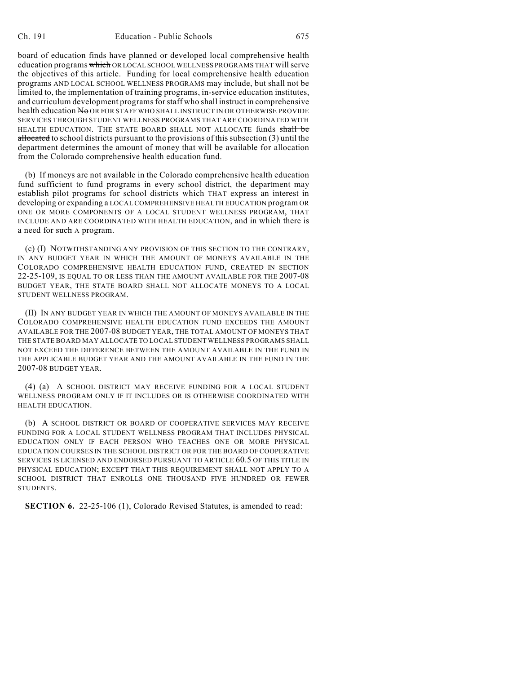board of education finds have planned or developed local comprehensive health education programs which OR LOCAL SCHOOL WELLNESS PROGRAMS THAT will serve the objectives of this article. Funding for local comprehensive health education programs AND LOCAL SCHOOL WELLNESS PROGRAMS may include, but shall not be limited to, the implementation of training programs, in-service education institutes, and curriculum development programs for staff who shall instruct in comprehensive health education No OR FOR STAFF WHO SHALL INSTRUCT IN OR OTHERWISE PROVIDE SERVICES THROUGH STUDENT WELLNESS PROGRAMS THAT ARE COORDINATED WITH HEALTH EDUCATION. THE STATE BOARD SHALL NOT ALLOCATE funds shall be allocated to school districts pursuant to the provisions of this subsection (3) until the department determines the amount of money that will be available for allocation from the Colorado comprehensive health education fund.

(b) If moneys are not available in the Colorado comprehensive health education fund sufficient to fund programs in every school district, the department may establish pilot programs for school districts which THAT express an interest in developing or expanding a LOCAL COMPREHENSIVE HEALTH EDUCATION program OR ONE OR MORE COMPONENTS OF A LOCAL STUDENT WELLNESS PROGRAM, THAT INCLUDE AND ARE COORDINATED WITH HEALTH EDUCATION, and in which there is a need for such A program.

(c) (I) NOTWITHSTANDING ANY PROVISION OF THIS SECTION TO THE CONTRARY, IN ANY BUDGET YEAR IN WHICH THE AMOUNT OF MONEYS AVAILABLE IN THE COLORADO COMPREHENSIVE HEALTH EDUCATION FUND, CREATED IN SECTION 22-25-109, IS EQUAL TO OR LESS THAN THE AMOUNT AVAILABLE FOR THE 2007-08 BUDGET YEAR, THE STATE BOARD SHALL NOT ALLOCATE MONEYS TO A LOCAL STUDENT WELLNESS PROGRAM.

(II) IN ANY BUDGET YEAR IN WHICH THE AMOUNT OF MONEYS AVAILABLE IN THE COLORADO COMPREHENSIVE HEALTH EDUCATION FUND EXCEEDS THE AMOUNT AVAILABLE FOR THE 2007-08 BUDGET YEAR, THE TOTAL AMOUNT OF MONEYS THAT THE STATE BOARD MAY ALLOCATE TO LOCAL STUDENT WELLNESS PROGRAMS SHALL NOT EXCEED THE DIFFERENCE BETWEEN THE AMOUNT AVAILABLE IN THE FUND IN THE APPLICABLE BUDGET YEAR AND THE AMOUNT AVAILABLE IN THE FUND IN THE 2007-08 BUDGET YEAR.

(4) (a) A SCHOOL DISTRICT MAY RECEIVE FUNDING FOR A LOCAL STUDENT WELLNESS PROGRAM ONLY IF IT INCLUDES OR IS OTHERWISE COORDINATED WITH HEALTH EDUCATION.

(b) A SCHOOL DISTRICT OR BOARD OF COOPERATIVE SERVICES MAY RECEIVE FUNDING FOR A LOCAL STUDENT WELLNESS PROGRAM THAT INCLUDES PHYSICAL EDUCATION ONLY IF EACH PERSON WHO TEACHES ONE OR MORE PHYSICAL EDUCATION COURSES IN THE SCHOOL DISTRICT OR FOR THE BOARD OF COOPERATIVE SERVICES IS LICENSED AND ENDORSED PURSUANT TO ARTICLE 60.5 OF THIS TITLE IN PHYSICAL EDUCATION; EXCEPT THAT THIS REQUIREMENT SHALL NOT APPLY TO A SCHOOL DISTRICT THAT ENROLLS ONE THOUSAND FIVE HUNDRED OR FEWER STUDENTS.

**SECTION 6.** 22-25-106 (1), Colorado Revised Statutes, is amended to read: